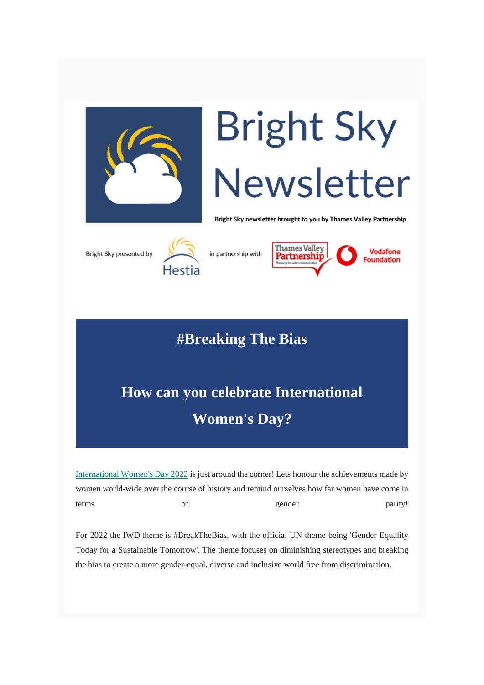

## **Bright Sky** Newsletter

Bright Sky newsletter brought to you by Thames Valley Partnership





in partnership with



## **#Breaking The Bias**

## **How can you celebrate International Women's Day?**

[International Women's Day 2022](https://thamesvalleypartnership.us2.list-manage.com/track/click?u=52a93138f9256b28b39be2bf1&id=3f727ce62c&e=8da06a51da) is just around the corner! Lets honour the achievements made by women world-wide over the course of history and remind ourselves how far women have come in terms of gender parity!

For 2022 the IWD theme is #BreakTheBias, with the official UN theme being 'Gender Equality Today for a Sustainable Tomorrow'. The theme focuses on diminishing stereotypes and breaking the bias to create a more gender-equal, diverse and inclusive world free from discrimination.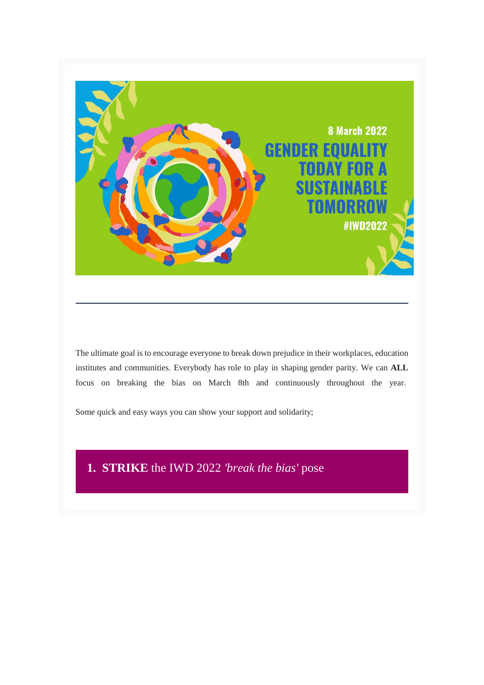

The ultimate goal is to encourage everyone to break down prejudice in their workplaces, education institutes and communities. Everybody has role to play in shaping gender parity. We can **ALL** focus on breaking the bias on March 8th and continuously throughout the year.

Some quick and easy ways you can show your support and solidarity;

#### **1. STRIKE** the IWD 2022 *'break the bias'* pose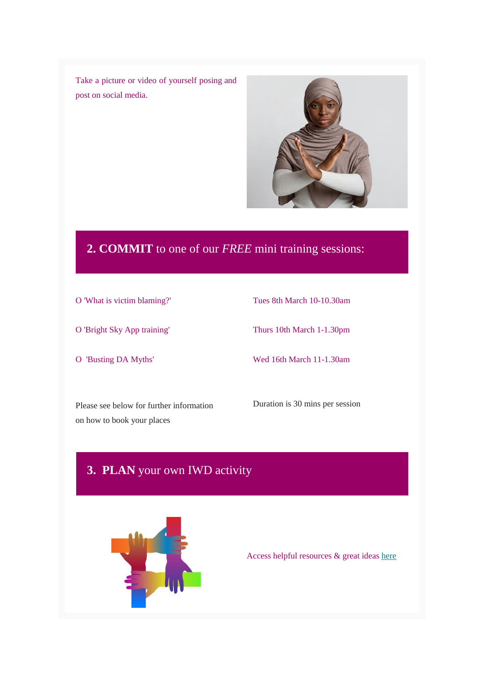Take a picture or video of yourself posing and post on social media.



### **2. COMMIT** to one of our *FREE* mini training sessions:

- O 'What is victim blaming?'
- O 'Bright Sky App training'
- O 'Busting DA Myths'

Tues 8th March 10-10.30am

Thurs 10th March 1-1.30pm

Wed 16th March 11-1.30am

Please see below for further information on how to book your places

Duration is 30 mins per session

### **3. PLAN** your own IWD activity



Access helpful resources & great ideas [here](https://thamesvalleypartnership.us2.list-manage.com/track/click?u=52a93138f9256b28b39be2bf1&id=68a210008a&e=8da06a51da)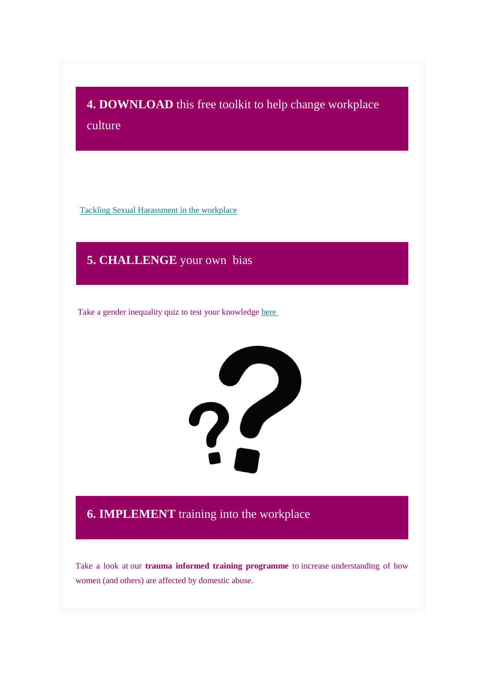**4. DOWNLOAD** this free toolkit to help change workplace culture

Tackling [Sexual Harassment in the workplace](https://thamesvalleypartnership.us2.list-manage.com/track/click?u=52a93138f9256b28b39be2bf1&id=ab07d58a99&e=8da06a51da)

**5. CHALLENGE** your own bias

Take a gender inequality quiz to test your knowledge [here](https://thamesvalleypartnership.us2.list-manage.com/track/click?u=52a93138f9256b28b39be2bf1&id=0c96cd0b36&e=8da06a51da)



#### **6. IMPLEMENT** training into the workplace

Take a look at our **trauma informed training programme** to increase understanding of how women (and others) are affected by domestic abuse.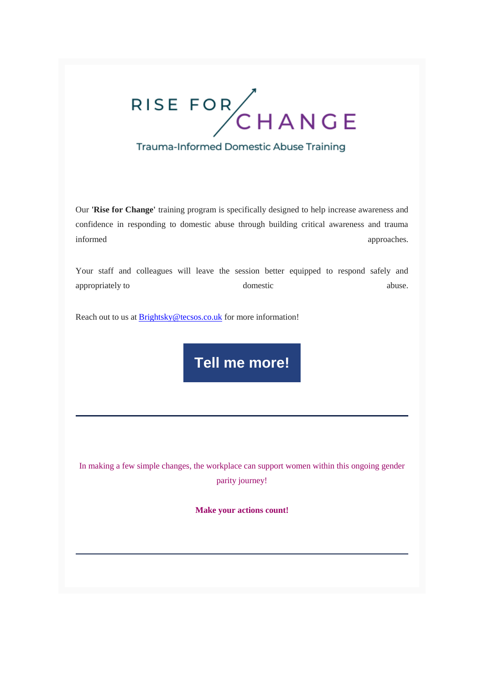# RISE FOR CHANGE

### Trauma-Informed Domestic Abuse Training

Our **'Rise for Change'** training program is specifically designed to help increase awareness and confidence in responding to domestic abuse through building critical awareness and trauma informed approaches.

Your staff and colleagues will leave the session better equipped to respond safely and appropriately to domestic abuse.

Reach out to us at **Brightsky@tecsos.co.uk** for more information!

**[Tell me more!](mailto:brightsky@tecsos.co.uk?subject=Rise%20for%20Change%20Training%20Programme%20&body=Hi%2C%0AI%20am%20interested%20in%20your%20trauma%20informed%20Rise%20for%20Change%20Training%20Programme.%20Please%20send%20me%20some%20more%20information.%0A%0AKind%20regards)**

In making a few simple changes, the workplace can support women within this ongoing gender parity journey!

**Make your actions count!**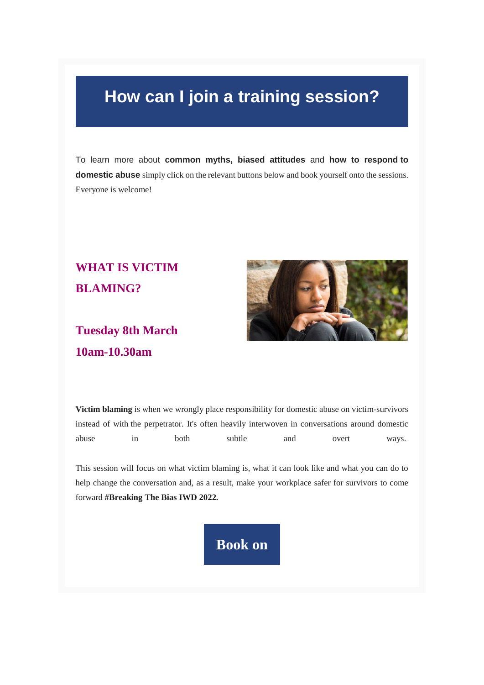## **How can I join a training session?**

To learn more about **common myths, biased attitudes** and **how to respond to domestic abuse** simply click on the relevant buttons below and book yourself onto the sessions. Everyone is welcome!

## **WHAT IS VICTIM BLAMING?**

## **Tuesday 8th March 10am-10.30am**



**Victim blaming** is when we wrongly place responsibility for domestic abuse on victim-survivors instead of with the perpetrator. It's often heavily interwoven in conversations around domestic abuse in both subtle and overt ways.

This session will focus on what victim blaming is, what it can look like and what you can do to help change the conversation and, as a result, make your workplace safer for survivors to come forward **#Breaking The Bias IWD 2022.**

## **[Book on](mailto:brightsky@tecsos.co.uk?subject=Book%20onto%20Victim%20Blaming%20session%208.03.22&body=Hi%2C%0AI%20would%20like%20to%20book%20onto%20your%20Free%20online%20Victim%20Blaming%20training%20session.%20Please%20send%20me%20some%20more%20information.)**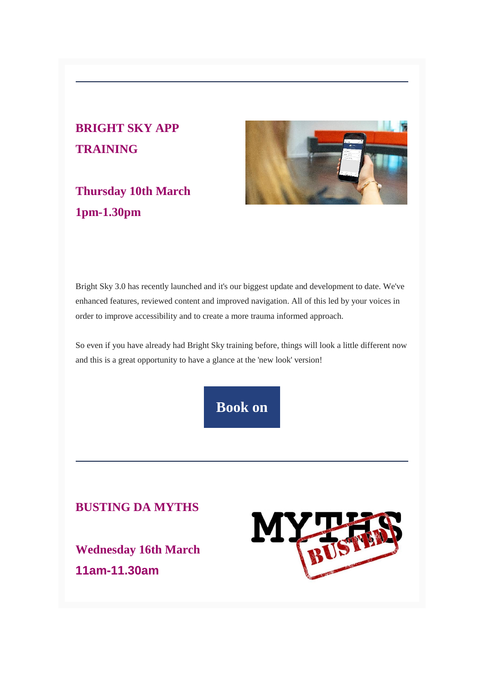## **BRIGHT SKY APP TRAINING**

## **Thursday 10th March 1pm-1.30pm**



Bright Sky 3.0 has recently launched and it's our biggest update and development to date. We've enhanced features, reviewed content and improved navigation. All of this led by your voices in order to improve accessibility and to create a more trauma informed approach.

So even if you have already had Bright Sky training before, things will look a little different now and this is a great opportunity to have a glance at the 'new look' version!



#### **BUSTING DA MYTHS**

**Wednesday 16th March 11am-11.30am**

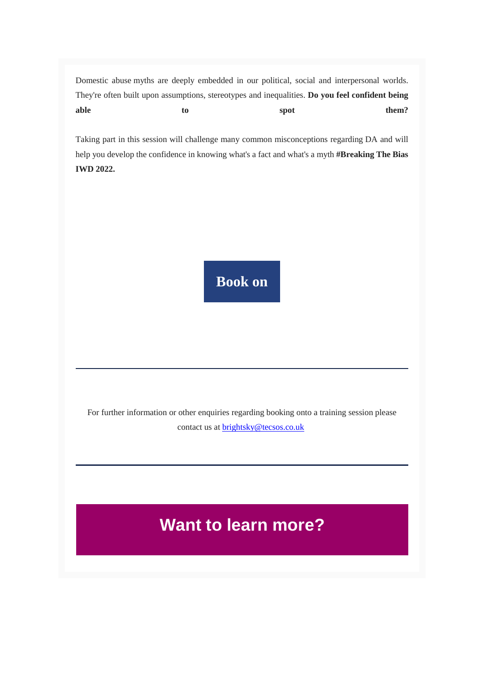Domestic abuse myths are deeply embedded in our political, social and interpersonal worlds. They're often built upon assumptions, stereotypes and inequalities. **Do you feel confident being**  able to to spot them?

Taking part in this session will challenge many common misconceptions regarding DA and will help you develop the confidence in knowing what's a fact and what's a myth **#Breaking The Bias IWD 2022.**

**[Book on](mailto:brightsky@tecsos.co.uk?subject=Book%20onto%20)**

For further information or other enquiries regarding booking onto a training session please contact us at [brightsky@tecsos.co.uk](mailto:brightsky@tecsos.co.uk)

## **Want to learn more?**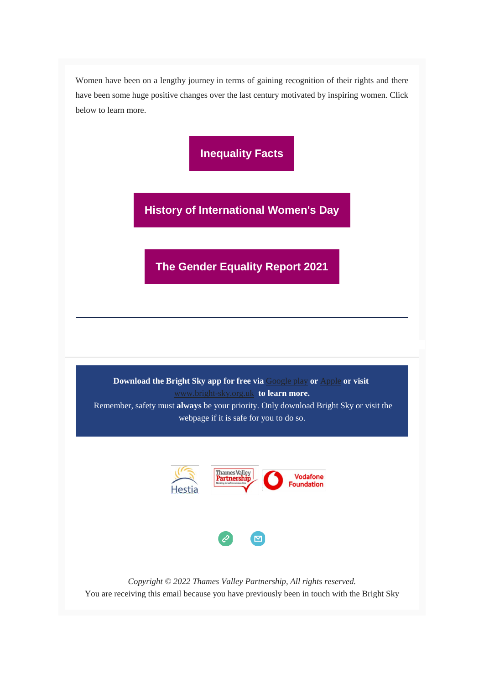Women have been on a lengthy journey in terms of gaining recognition of their rights and there have been some huge positive changes over the last century motivated by inspiring women. Click below to learn more.

**[Inequality Facts](https://thamesvalleypartnership.us2.list-manage.com/track/click?u=52a93138f9256b28b39be2bf1&id=16f2501cc1&e=8da06a51da)**

**[History of International Women's Day](https://thamesvalleypartnership.us2.list-manage.com/track/click?u=52a93138f9256b28b39be2bf1&id=2a49f70c10&e=8da06a51da)**

**[The Gender Equality Report 2021](https://thamesvalleypartnership.us2.list-manage.com/track/click?u=52a93138f9256b28b39be2bf1&id=5305106e2b&e=8da06a51da)**

**Download the Bright Sky app for free via** [Google play](https://thamesvalleypartnership.us2.list-manage.com/track/click?u=52a93138f9256b28b39be2bf1&id=163cc8e40e&e=8da06a51da) **or** [Apple](https://thamesvalleypartnership.us2.list-manage.com/track/click?u=52a93138f9256b28b39be2bf1&id=294522a8a7&e=8da06a51da) **or visit** [www.bright-sky.org.uk](https://thamesvalleypartnership.us2.list-manage.com/track/click?u=52a93138f9256b28b39be2bf1&id=cc55eb1087&e=8da06a51da) **to learn more.** Remember, safety must **always** be your priority. Only download Bright Sky or visit the webpage if it is safe for you to do so.



*Copyright © 2022 Thames Valley Partnership, All rights reserved.* You are receiving this email because you have previously been in touch with the Bright Sky